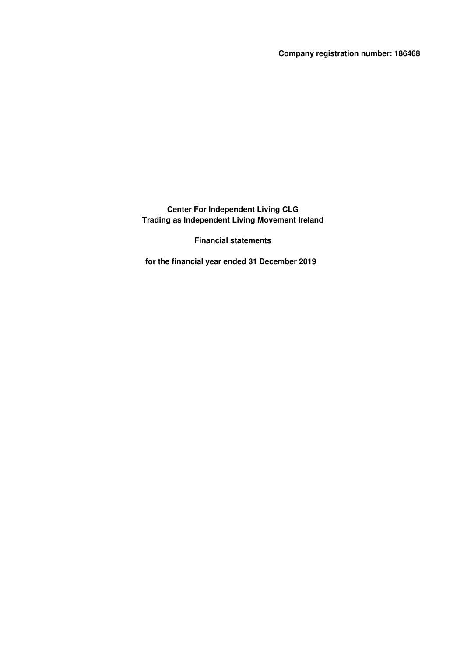**Company registration number: 186468**

**Center For Independent Living CLG Trading as Independent Living Movement Ireland**

**Financial statements**

**for the financial year ended 31 December 2019**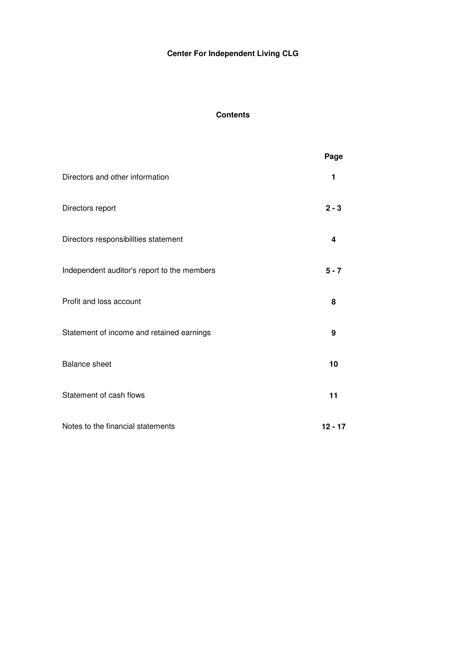# **Contents**

|                                             | Page      |
|---------------------------------------------|-----------|
| Directors and other information             | 1         |
| Directors report                            | $2 - 3$   |
| Directors responsibilities statement        | 4         |
| Independent auditor's report to the members | $5 - 7$   |
| Profit and loss account                     | 8         |
| Statement of income and retained earnings   | 9         |
| <b>Balance sheet</b>                        | 10        |
| Statement of cash flows                     | 11        |
| Notes to the financial statements           | $12 - 17$ |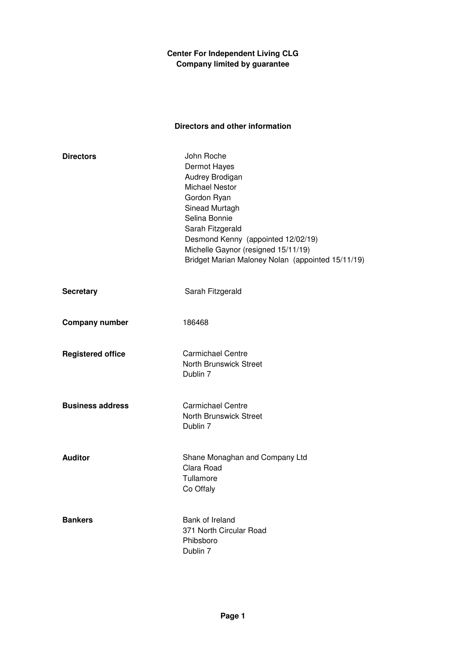# **Center For Independent Living CLG Company limited by guarantee**

# **Directors and other information**

| <b>Directors</b>         | John Roche<br>Dermot Hayes<br>Audrey Brodigan<br><b>Michael Nestor</b><br>Gordon Ryan<br>Sinead Murtagh<br>Selina Bonnie<br>Sarah Fitzgerald<br>Desmond Kenny (appointed 12/02/19)<br>Michelle Gaynor (resigned 15/11/19)<br>Bridget Marian Maloney Nolan (appointed 15/11/19) |
|--------------------------|--------------------------------------------------------------------------------------------------------------------------------------------------------------------------------------------------------------------------------------------------------------------------------|
| <b>Secretary</b>         | Sarah Fitzgerald                                                                                                                                                                                                                                                               |
| <b>Company number</b>    | 186468                                                                                                                                                                                                                                                                         |
| <b>Registered office</b> | <b>Carmichael Centre</b><br>North Brunswick Street<br>Dublin 7                                                                                                                                                                                                                 |
| <b>Business address</b>  | <b>Carmichael Centre</b><br>North Brunswick Street<br>Dublin 7                                                                                                                                                                                                                 |
| <b>Auditor</b>           | Shane Monaghan and Company Ltd<br>Clara Road<br>Tullamore<br>Co Offaly                                                                                                                                                                                                         |
| <b>Bankers</b>           | Bank of Ireland<br>371 North Circular Road<br>Phibsboro<br>Dublin 7                                                                                                                                                                                                            |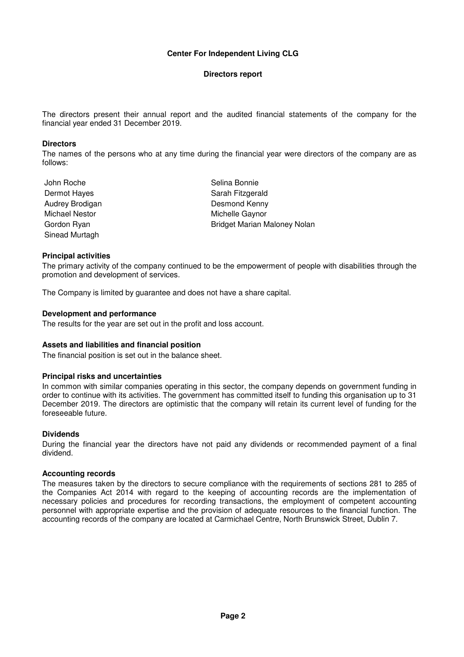### **Directors report**

The directors present their annual report and the audited financial statements of the company for the financial year ended 31 December 2019.

### **Directors**

The names of the persons who at any time during the financial year were directors of the company are as follows:

John Roche Selina Bonnie Dermot Hayes Sarah Fitzgerald Audrey Brodigan **Desmond Kenny** Michael Nestor **Michael Nestor** Michelle Gaynor Sinead Murtagh

Gordon Ryan Bridget Marian Maloney Nolan

### **Principal activities**

The primary activity of the company continued to be the empowerment of people with disabilities through the promotion and development of services.

The Company is limited by guarantee and does not have a share capital.

### **Development and performance**

The results for the year are set out in the profit and loss account.

### **Assets and liabilities and financial position**

The financial position is set out in the balance sheet.

### **Principal risks and uncertainties**

In common with similar companies operating in this sector, the company depends on government funding in order to continue with its activities. The government has committed itself to funding this organisation up to 31 December 2019. The directors are optimistic that the company will retain its current level of funding for the foreseeable future.

### **Dividends**

During the financial year the directors have not paid any dividends or recommended payment of a final dividend.

### **Accounting records**

The measures taken by the directors to secure compliance with the requirements of sections 281 to 285 of the Companies Act 2014 with regard to the keeping of accounting records are the implementation of necessary policies and procedures for recording transactions, the employment of competent accounting personnel with appropriate expertise and the provision of adequate resources to the financial function. The accounting records of the company are located at Carmichael Centre, North Brunswick Street, Dublin 7.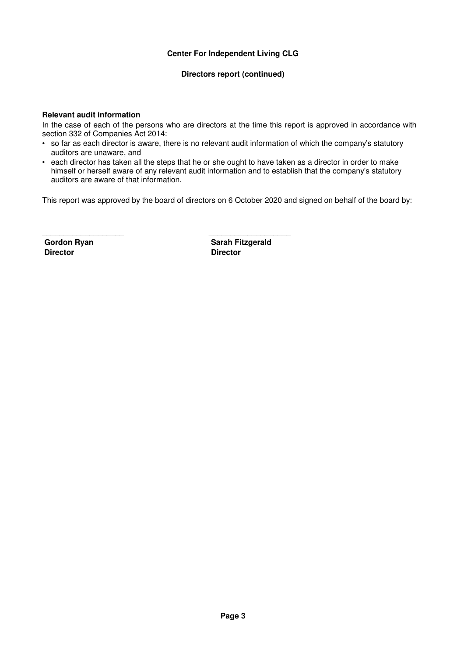### **Directors report (continued)**

## **Relevant audit information**

In the case of each of the persons who are directors at the time this report is approved in accordance with section 332 of Companies Act 2014:

- so far as each director is aware, there is no relevant audit information of which the company's statutory auditors are unaware, and
- each director has taken all the steps that he or she ought to have taken as a director in order to make himself or herself aware of any relevant audit information and to establish that the company's statutory auditors are aware of that information.

This report was approved by the board of directors on 6 October 2020 and signed on behalf of the board by:

 $\frac{1}{2}$  ,  $\frac{1}{2}$  ,  $\frac{1}{2}$  ,  $\frac{1}{2}$  ,  $\frac{1}{2}$  ,  $\frac{1}{2}$  ,  $\frac{1}{2}$  ,  $\frac{1}{2}$  ,  $\frac{1}{2}$  ,  $\frac{1}{2}$  ,  $\frac{1}{2}$  ,  $\frac{1}{2}$  ,  $\frac{1}{2}$  ,  $\frac{1}{2}$  ,  $\frac{1}{2}$  ,  $\frac{1}{2}$  ,  $\frac{1}{2}$  ,  $\frac{1}{2}$  ,  $\frac{1$ 

 **Director Director**

Gordon Ryan **Sarah Fitzgerald**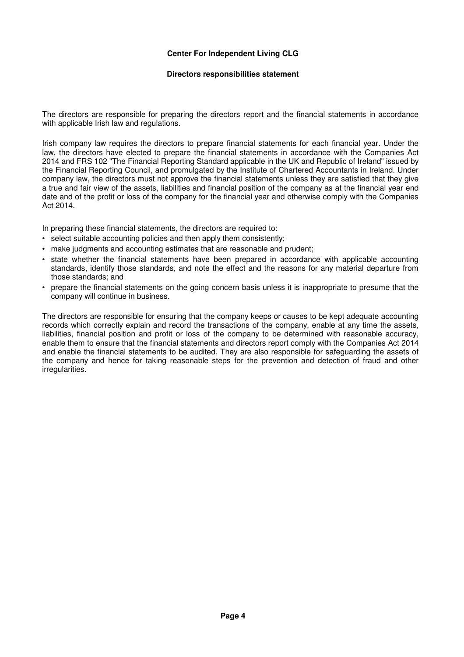### **Directors responsibilities statement**

The directors are responsible for preparing the directors report and the financial statements in accordance with applicable Irish law and regulations.

Irish company law requires the directors to prepare financial statements for each financial year. Under the law, the directors have elected to prepare the financial statements in accordance with the Companies Act 2014 and FRS 102 "The Financial Reporting Standard applicable in the UK and Republic of Ireland" issued by the Financial Reporting Council, and promulgated by the Institute of Chartered Accountants in Ireland. Under company law, the directors must not approve the financial statements unless they are satisfied that they give a true and fair view of the assets, liabilities and financial position of the company as at the financial year end date and of the profit or loss of the company for the financial year and otherwise comply with the Companies Act 2014.

In preparing these financial statements, the directors are required to:

- select suitable accounting policies and then apply them consistently;
- make judgments and accounting estimates that are reasonable and prudent;
- state whether the financial statements have been prepared in accordance with applicable accounting standards, identify those standards, and note the effect and the reasons for any material departure from those standards; and
- prepare the financial statements on the going concern basis unless it is inappropriate to presume that the company will continue in business.

The directors are responsible for ensuring that the company keeps or causes to be kept adequate accounting records which correctly explain and record the transactions of the company, enable at any time the assets, liabilities, financial position and profit or loss of the company to be determined with reasonable accuracy, enable them to ensure that the financial statements and directors report comply with the Companies Act 2014 and enable the financial statements to be audited. They are also responsible for safeguarding the assets of the company and hence for taking reasonable steps for the prevention and detection of fraud and other irregularities.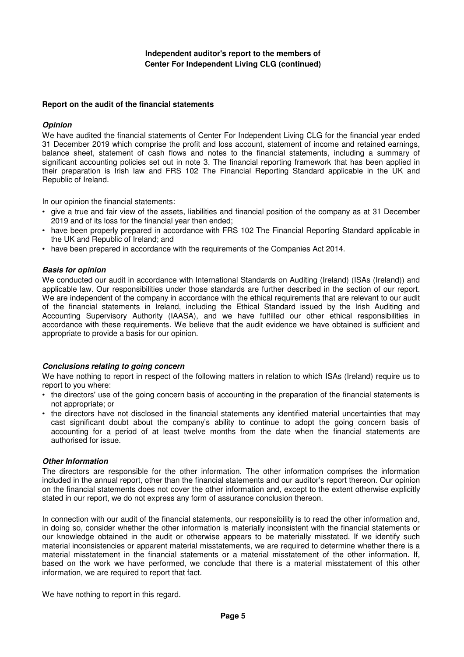# **Independent auditor's report to the members of Center For Independent Living CLG (continued)**

### **Report on the audit of the financial statements**

### **Opinion**

We have audited the financial statements of Center For Independent Living CLG for the financial year ended 31 December 2019 which comprise the profit and loss account, statement of income and retained earnings, balance sheet, statement of cash flows and notes to the financial statements, including a summary of significant accounting policies set out in note 3. The financial reporting framework that has been applied in their preparation is Irish law and FRS 102 The Financial Reporting Standard applicable in the UK and Republic of Ireland.

In our opinion the financial statements:

- give a true and fair view of the assets, liabilities and financial position of the company as at 31 December 2019 and of its loss for the financial year then ended;
- have been properly prepared in accordance with FRS 102 The Financial Reporting Standard applicable in the UK and Republic of Ireland; and
- have been prepared in accordance with the requirements of the Companies Act 2014.

### **Basis for opinion**

We conducted our audit in accordance with International Standards on Auditing (Ireland) (ISAs (Ireland)) and applicable law. Our responsibilities under those standards are further described in the section of our report. We are independent of the company in accordance with the ethical requirements that are relevant to our audit of the financial statements in Ireland, including the Ethical Standard issued by the Irish Auditing and Accounting Supervisory Authority (IAASA), and we have fulfilled our other ethical responsibilities in accordance with these requirements. We believe that the audit evidence we have obtained is sufficient and appropriate to provide a basis for our opinion.

# **Conclusions relating to going concern**

We have nothing to report in respect of the following matters in relation to which ISAs (Ireland) require us to report to you where:

- the directors' use of the going concern basis of accounting in the preparation of the financial statements is not appropriate; or
- the directors have not disclosed in the financial statements any identified material uncertainties that may cast significant doubt about the company's ability to continue to adopt the going concern basis of accounting for a period of at least twelve months from the date when the financial statements are authorised for issue.

### **Other Information**

The directors are responsible for the other information. The other information comprises the information included in the annual report, other than the financial statements and our auditor's report thereon. Our opinion on the financial statements does not cover the other information and, except to the extent otherwise explicitly stated in our report, we do not express any form of assurance conclusion thereon.

In connection with our audit of the financial statements, our responsibility is to read the other information and, in doing so, consider whether the other information is materially inconsistent with the financial statements or our knowledge obtained in the audit or otherwise appears to be materially misstated. If we identify such material inconsistencies or apparent material misstatements, we are required to determine whether there is a material misstatement in the financial statements or a material misstatement of the other information. If, based on the work we have performed, we conclude that there is a material misstatement of this other information, we are required to report that fact.

We have nothing to report in this regard.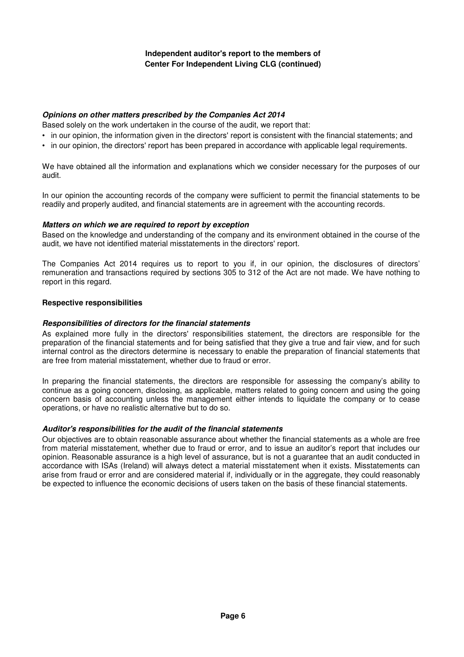# **Opinions on other matters prescribed by the Companies Act 2014**

Based solely on the work undertaken in the course of the audit, we report that:

- in our opinion, the information given in the directors' report is consistent with the financial statements; and
- in our opinion, the directors' report has been prepared in accordance with applicable legal requirements.

We have obtained all the information and explanations which we consider necessary for the purposes of our audit.

In our opinion the accounting records of the company were sufficient to permit the financial statements to be readily and properly audited, and financial statements are in agreement with the accounting records.

## **Matters on which we are required to report by exception**

Based on the knowledge and understanding of the company and its environment obtained in the course of the audit, we have not identified material misstatements in the directors' report.

The Companies Act 2014 requires us to report to you if, in our opinion, the disclosures of directors' remuneration and transactions required by sections 305 to 312 of the Act are not made. We have nothing to report in this regard.

## **Respective responsibilities**

## **Responsibilities of directors for the financial statements**

As explained more fully in the directors' responsibilities statement, the directors are responsible for the preparation of the financial statements and for being satisfied that they give a true and fair view, and for such internal control as the directors determine is necessary to enable the preparation of financial statements that are free from material misstatement, whether due to fraud or error.

In preparing the financial statements, the directors are responsible for assessing the company's ability to continue as a going concern, disclosing, as applicable, matters related to going concern and using the going concern basis of accounting unless the management either intends to liquidate the company or to cease operations, or have no realistic alternative but to do so.

## **Auditor's responsibilities for the audit of the financial statements**

Our objectives are to obtain reasonable assurance about whether the financial statements as a whole are free from material misstatement, whether due to fraud or error, and to issue an auditor's report that includes our opinion. Reasonable assurance is a high level of assurance, but is not a guarantee that an audit conducted in accordance with ISAs (Ireland) will always detect a material misstatement when it exists. Misstatements can arise from fraud or error and are considered material if, individually or in the aggregate, they could reasonably be expected to influence the economic decisions of users taken on the basis of these financial statements.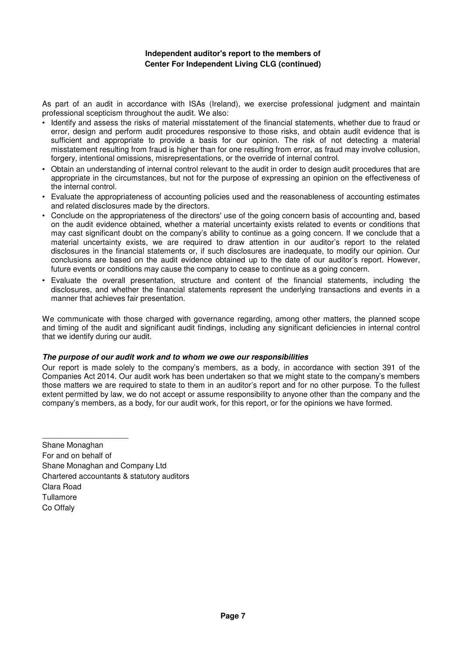# **Independent auditor's report to the members of Center For Independent Living CLG (continued)**

As part of an audit in accordance with ISAs (Ireland), we exercise professional judgment and maintain professional scepticism throughout the audit. We also:

- Identify and assess the risks of material misstatement of the financial statements, whether due to fraud or error, design and perform audit procedures responsive to those risks, and obtain audit evidence that is sufficient and appropriate to provide a basis for our opinion. The risk of not detecting a material misstatement resulting from fraud is higher than for one resulting from error, as fraud may involve collusion, forgery, intentional omissions, misrepresentations, or the override of internal control.
- Obtain an understanding of internal control relevant to the audit in order to design audit procedures that are appropriate in the circumstances, but not for the purpose of expressing an opinion on the effectiveness of the internal control.
- Evaluate the appropriateness of accounting policies used and the reasonableness of accounting estimates and related disclosures made by the directors.
- Conclude on the appropriateness of the directors' use of the going concern basis of accounting and, based on the audit evidence obtained, whether a material uncertainty exists related to events or conditions that may cast significant doubt on the company's ability to continue as a going concern. If we conclude that a material uncertainty exists, we are required to draw attention in our auditor's report to the related disclosures in the financial statements or, if such disclosures are inadequate, to modify our opinion. Our conclusions are based on the audit evidence obtained up to the date of our auditor's report. However, future events or conditions may cause the company to cease to continue as a going concern.
- Evaluate the overall presentation, structure and content of the financial statements, including the disclosures, and whether the financial statements represent the underlying transactions and events in a manner that achieves fair presentation.

We communicate with those charged with governance regarding, among other matters, the planned scope and timing of the audit and significant audit findings, including any significant deficiencies in internal control that we identify during our audit.

## **The purpose of our audit work and to whom we owe our responsibilities**

Our report is made solely to the company's members, as a body, in accordance with section 391 of the Companies Act 2014. Our audit work has been undertaken so that we might state to the company's members those matters we are required to state to them in an auditor's report and for no other purpose. To the fullest extent permitted by law, we do not accept or assume responsibility to anyone other than the company and the company's members, as a body, for our audit work, for this report, or for the opinions we have formed.

\_\_\_\_\_\_\_\_\_\_\_\_\_\_\_\_\_\_\_\_ Shane Monaghan For and on behalf of Shane Monaghan and Company Ltd Chartered accountants & statutory auditors Clara Road Tullamore Co Offaly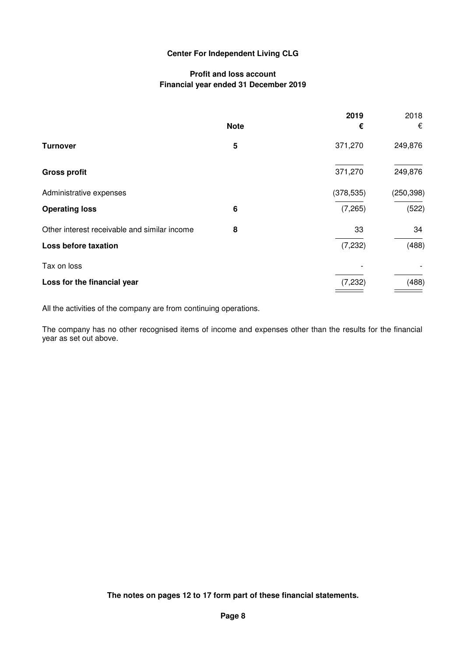# **Profit and loss account Financial year ended 31 December 2019**

|                                              |             | 2019       | 2018       |
|----------------------------------------------|-------------|------------|------------|
|                                              | <b>Note</b> | €          | €          |
| <b>Turnover</b>                              | 5           | 371,270    | 249,876    |
| <b>Gross profit</b>                          |             | 371,270    | 249,876    |
| Administrative expenses                      |             | (378, 535) | (250, 398) |
| <b>Operating loss</b>                        | 6           | (7, 265)   | (522)      |
| Other interest receivable and similar income | 8           | 33         | 34         |
| Loss before taxation                         |             | (7, 232)   | (488)      |
| Tax on loss                                  |             |            |            |
| Loss for the financial year                  |             | (7, 232)   | (488)      |

All the activities of the company are from continuing operations.

The company has no other recognised items of income and expenses other than the results for the financial year as set out above.

**The notes on pages 12 to 17 form part of these financial statements.**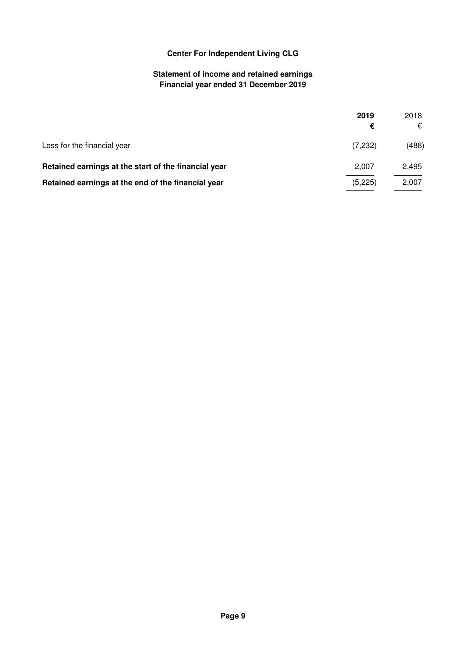# **Statement of income and retained earnings Financial year ended 31 December 2019**

|                                                      | 2019<br>€ | 2018<br>€ |
|------------------------------------------------------|-----------|-----------|
| Loss for the financial year                          | (7,232)   | (488)     |
| Retained earnings at the start of the financial year | 2.007     | 2,495     |
| Retained earnings at the end of the financial year   | (5, 225)  | 2,007     |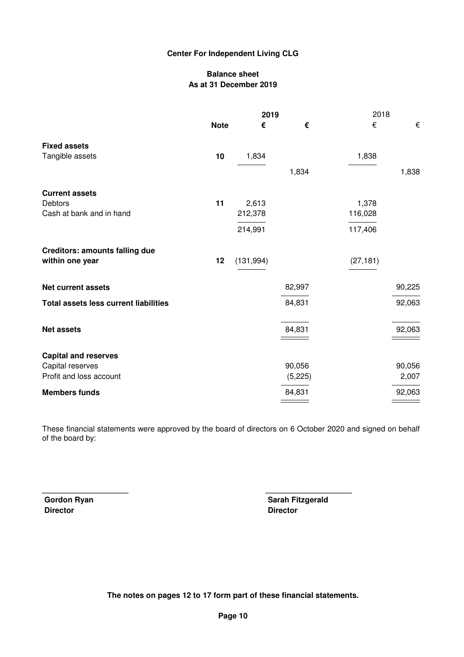# **Balance sheet As at 31 December 2019**

|                                              | 2019        |            | 2018     |           |        |
|----------------------------------------------|-------------|------------|----------|-----------|--------|
|                                              | <b>Note</b> | €          | €        | €         | €      |
| <b>Fixed assets</b>                          |             |            |          |           |        |
| Tangible assets                              | 10          | 1,834      |          | 1,838     |        |
|                                              |             |            | 1,834    |           | 1,838  |
| <b>Current assets</b>                        |             |            |          |           |        |
| Debtors                                      | 11          | 2,613      |          | 1,378     |        |
| Cash at bank and in hand                     |             | 212,378    |          | 116,028   |        |
|                                              |             | 214,991    |          | 117,406   |        |
| <b>Creditors: amounts falling due</b>        |             |            |          |           |        |
| within one year                              | 12          | (131, 994) |          | (27, 181) |        |
| Net current assets                           |             |            | 82,997   |           | 90,225 |
| <b>Total assets less current liabilities</b> |             |            | 84,831   |           | 92,063 |
| <b>Net assets</b>                            |             |            | 84,831   |           | 92,063 |
|                                              |             |            |          |           |        |
| <b>Capital and reserves</b>                  |             |            |          |           |        |
| Capital reserves                             |             |            | 90,056   |           | 90,056 |
| Profit and loss account                      |             |            | (5, 225) |           | 2,007  |
| <b>Members funds</b>                         |             |            | 84,831   |           | 92,063 |

These financial statements were approved by the board of directors on 6 October 2020 and signed on behalf of the board by:

**\_\_\_\_\_\_\_\_\_\_\_\_\_\_\_\_\_\_\_\_ \_\_\_\_\_\_\_\_\_\_\_\_\_\_\_\_\_\_\_\_**

**Director** Director

**Gordon Ryan Sarah Fitzgerald** 

**The notes on pages 12 to 17 form part of these financial statements.**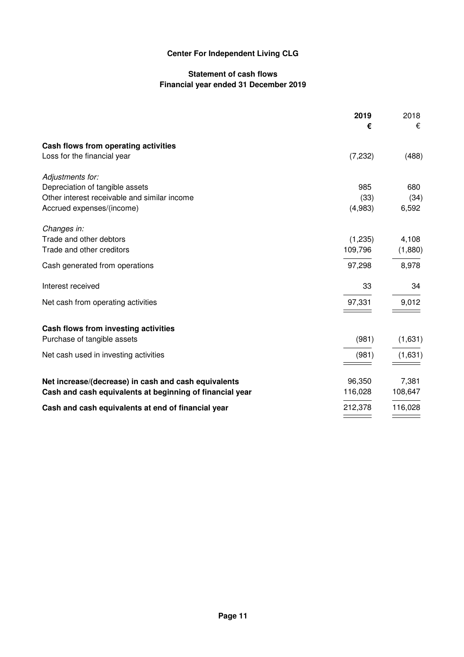# **Statement of cash flows Financial year ended 31 December 2019**

|                                                          | 2019<br>€ | 2018<br>€ |
|----------------------------------------------------------|-----------|-----------|
| Cash flows from operating activities                     |           |           |
| Loss for the financial year                              | (7, 232)  | (488)     |
| Adjustments for:                                         |           |           |
| Depreciation of tangible assets                          | 985       | 680       |
| Other interest receivable and similar income             | (33)      | (34)      |
| Accrued expenses/(income)                                | (4,983)   | 6,592     |
| Changes in:                                              |           |           |
| Trade and other debtors                                  | (1,235)   | 4,108     |
| Trade and other creditors                                | 109,796   | (1,880)   |
| Cash generated from operations                           | 97,298    | 8,978     |
| Interest received                                        | 33        | 34        |
| Net cash from operating activities                       | 97,331    | 9,012     |
| Cash flows from investing activities                     |           |           |
| Purchase of tangible assets                              | (981)     | (1,631)   |
| Net cash used in investing activities                    | (981)     | (1,631)   |
| Net increase/(decrease) in cash and cash equivalents     | 96,350    | 7,381     |
| Cash and cash equivalents at beginning of financial year | 116,028   | 108,647   |
| Cash and cash equivalents at end of financial year       | 212,378   | 116,028   |
|                                                          |           |           |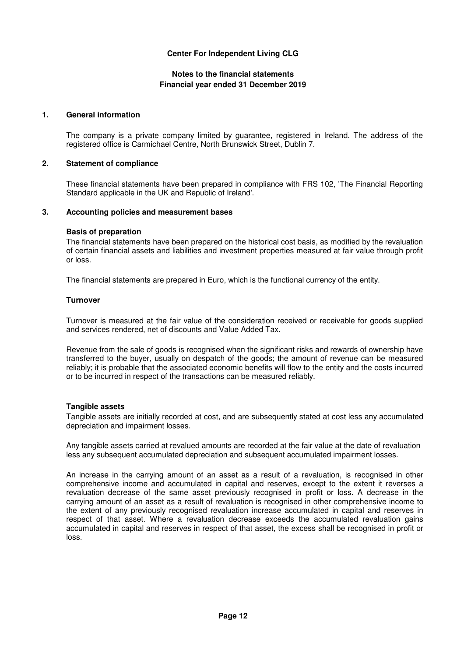### **Notes to the financial statements Financial year ended 31 December 2019**

### **1. General information**

The company is a private company limited by guarantee, registered in Ireland. The address of the registered office is Carmichael Centre, North Brunswick Street, Dublin 7.

### **2. Statement of compliance**

These financial statements have been prepared in compliance with FRS 102, 'The Financial Reporting Standard applicable in the UK and Republic of Ireland'.

#### **3. Accounting policies and measurement bases**

#### **Basis of preparation**

The financial statements have been prepared on the historical cost basis, as modified by the revaluation of certain financial assets and liabilities and investment properties measured at fair value through profit or loss.

The financial statements are prepared in Euro, which is the functional currency of the entity.

#### **Turnover**

Turnover is measured at the fair value of the consideration received or receivable for goods supplied and services rendered, net of discounts and Value Added Tax.

Revenue from the sale of goods is recognised when the significant risks and rewards of ownership have transferred to the buyer, usually on despatch of the goods; the amount of revenue can be measured reliably; it is probable that the associated economic benefits will flow to the entity and the costs incurred or to be incurred in respect of the transactions can be measured reliably.

### **Tangible assets**

Tangible assets are initially recorded at cost, and are subsequently stated at cost less any accumulated depreciation and impairment losses.

Any tangible assets carried at revalued amounts are recorded at the fair value at the date of revaluation less any subsequent accumulated depreciation and subsequent accumulated impairment losses.

An increase in the carrying amount of an asset as a result of a revaluation, is recognised in other comprehensive income and accumulated in capital and reserves, except to the extent it reverses a revaluation decrease of the same asset previously recognised in profit or loss. A decrease in the carrying amount of an asset as a result of revaluation is recognised in other comprehensive income to the extent of any previously recognised revaluation increase accumulated in capital and reserves in respect of that asset. Where a revaluation decrease exceeds the accumulated revaluation gains accumulated in capital and reserves in respect of that asset, the excess shall be recognised in profit or loss.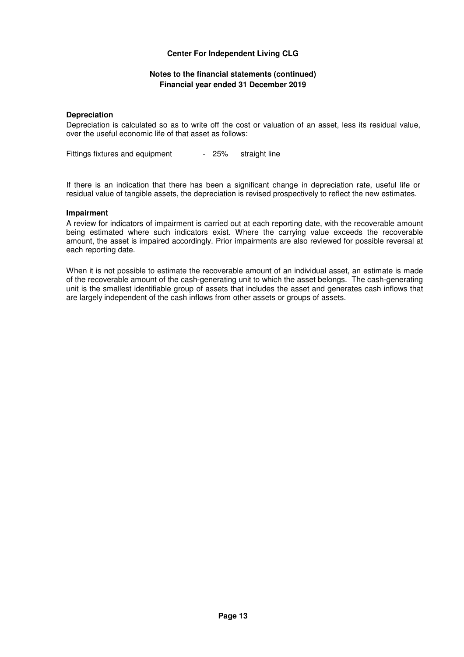### **Notes to the financial statements (continued) Financial year ended 31 December 2019**

### **Depreciation**

Depreciation is calculated so as to write off the cost or valuation of an asset, less its residual value, over the useful economic life of that asset as follows:

Fittings fixtures and equipment - 25% straight line

If there is an indication that there has been a significant change in depreciation rate, useful life or residual value of tangible assets, the depreciation is revised prospectively to reflect the new estimates.

### **Impairment**

A review for indicators of impairment is carried out at each reporting date, with the recoverable amount being estimated where such indicators exist. Where the carrying value exceeds the recoverable amount, the asset is impaired accordingly. Prior impairments are also reviewed for possible reversal at each reporting date.

When it is not possible to estimate the recoverable amount of an individual asset, an estimate is made of the recoverable amount of the cash-generating unit to which the asset belongs. The cash-generating unit is the smallest identifiable group of assets that includes the asset and generates cash inflows that are largely independent of the cash inflows from other assets or groups of assets.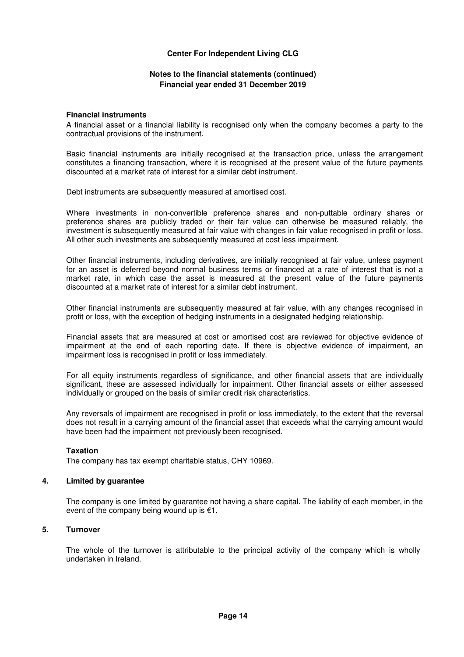### **Notes to the financial statements (continued) Financial year ended 31 December 2019**

### **Financial instruments**

A financial asset or a financial liability is recognised only when the company becomes a party to the contractual provisions of the instrument.

Basic financial instruments are initially recognised at the transaction price, unless the arrangement constitutes a financing transaction, where it is recognised at the present value of the future payments discounted at a market rate of interest for a similar debt instrument.

Debt instruments are subsequently measured at amortised cost.

Where investments in non-convertible preference shares and non-puttable ordinary shares or preference shares are publicly traded or their fair value can otherwise be measured reliably, the investment is subsequently measured at fair value with changes in fair value recognised in profit or loss. All other such investments are subsequently measured at cost less impairment.

Other financial instruments, including derivatives, are initially recognised at fair value, unless payment for an asset is deferred beyond normal business terms or financed at a rate of interest that is not a market rate, in which case the asset is measured at the present value of the future payments discounted at a market rate of interest for a similar debt instrument.

Other financial instruments are subsequently measured at fair value, with any changes recognised in profit or loss, with the exception of hedging instruments in a designated hedging relationship.

Financial assets that are measured at cost or amortised cost are reviewed for objective evidence of impairment at the end of each reporting date. If there is objective evidence of impairment, an impairment loss is recognised in profit or loss immediately.

For all equity instruments regardless of significance, and other financial assets that are individually significant, these are assessed individually for impairment. Other financial assets or either assessed individually or grouped on the basis of similar credit risk characteristics.

Any reversals of impairment are recognised in profit or loss immediately, to the extent that the reversal does not result in a carrying amount of the financial asset that exceeds what the carrying amount would have been had the impairment not previously been recognised.

### **Taxation**

The company has tax exempt charitable status, CHY 10969.

### **4. Limited by guarantee**

The company is one limited by guarantee not having a share capital. The liability of each member, in the event of the company being wound up is  $€1$ .

### **5. Turnover**

The whole of the turnover is attributable to the principal activity of the company which is wholly undertaken in Ireland.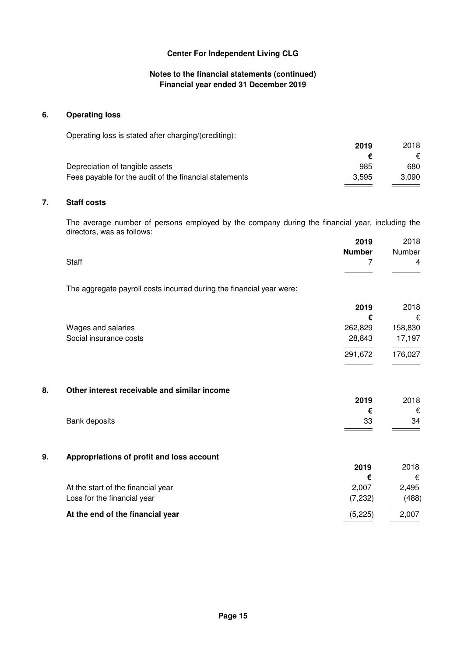# **Notes to the financial statements (continued) Financial year ended 31 December 2019**

### **6. Operating loss**

Operating loss is stated after charging/(crediting):

|                                                        | 2019  | 2018  |
|--------------------------------------------------------|-------|-------|
|                                                        |       | €     |
| Depreciation of tangible assets                        | 985   | 680   |
| Fees payable for the audit of the financial statements | 3.595 | 3.090 |
|                                                        |       |       |

# **7. Staff costs**

The average number of persons employed by the company during the financial year, including the directors, was as follows:

| 2018           | 2019          |       |
|----------------|---------------|-------|
| Number         | <b>Number</b> |       |
| $\overline{4}$ |               | Staff |
|                |               |       |

The aggregate payroll costs incurred during the financial year were:

|                        | 2019    | 2018    |
|------------------------|---------|---------|
|                        | €       | €       |
| Wages and salaries     | 262,829 | 158,830 |
| Social insurance costs | 28,843  | 17,197  |
|                        | 291,672 | 176,027 |
|                        |         |         |

## **8. Other interest receivable and similar income**

|               | 2019 | 2018 |
|---------------|------|------|
|               |      | €    |
| Bank deposits | 33   | 34   |
|               |      |      |

# **9. Appropriations of profit and loss account**

| .                                  | 2019     | 2018<br>€ |
|------------------------------------|----------|-----------|
| At the start of the financial year | 2.007    | 2,495     |
| Loss for the financial year        | (7, 232) | (488)     |
| At the end of the financial year   | (5,225)  | 2,007     |
|                                    |          |           |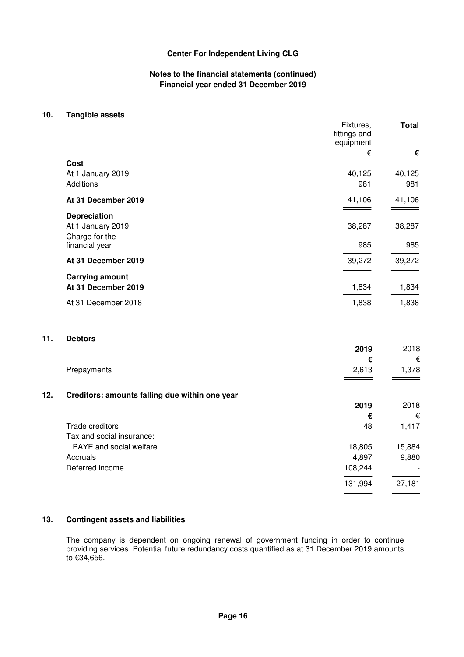## **Notes to the financial statements (continued) Financial year ended 31 December 2019**

### **10. Tangible assets**

**11.** 

|     |                                                | Fixtures,<br>fittings and<br>equipment<br>€ | <b>Total</b><br>€ |
|-----|------------------------------------------------|---------------------------------------------|-------------------|
|     | <b>Cost</b>                                    |                                             |                   |
|     | At 1 January 2019                              | 40,125                                      | 40,125            |
|     | Additions                                      | 981                                         | 981               |
|     | At 31 December 2019                            | 41,106                                      | 41,106            |
|     | <b>Depreciation</b>                            |                                             |                   |
|     | At 1 January 2019                              | 38,287                                      | 38,287            |
|     | Charge for the<br>financial year               | 985                                         | 985               |
|     | At 31 December 2019                            | 39,272                                      | 39,272            |
|     | <b>Carrying amount</b>                         |                                             |                   |
|     | At 31 December 2019                            | 1,834                                       | 1,834             |
|     | At 31 December 2018                            | 1,838                                       | 1,838             |
|     |                                                |                                             |                   |
| 11. | <b>Debtors</b>                                 |                                             |                   |
|     |                                                | 2019                                        | 2018              |
|     |                                                | €                                           | €                 |
|     | Prepayments                                    | 2,613                                       | 1,378             |
| 12. | Creditors: amounts falling due within one year |                                             |                   |
|     |                                                | 2019                                        | 2018              |
|     |                                                | €                                           | €                 |
|     | Trade creditors                                | 48                                          | 1,417             |
|     | Tax and social insurance:                      |                                             |                   |
|     | PAYE and social welfare                        | 18,805                                      | 15,884            |
|     | Accruals                                       | 4,897                                       | 9,880             |
|     | Deferred income                                | 108,244                                     |                   |
|     |                                                | 131,994                                     | 27,181            |

### **13. Contingent assets and liabilities**

The company is dependent on ongoing renewal of government funding in order to continue providing services. Potential future redundancy costs quantified as at 31 December 2019 amounts to €34,656.